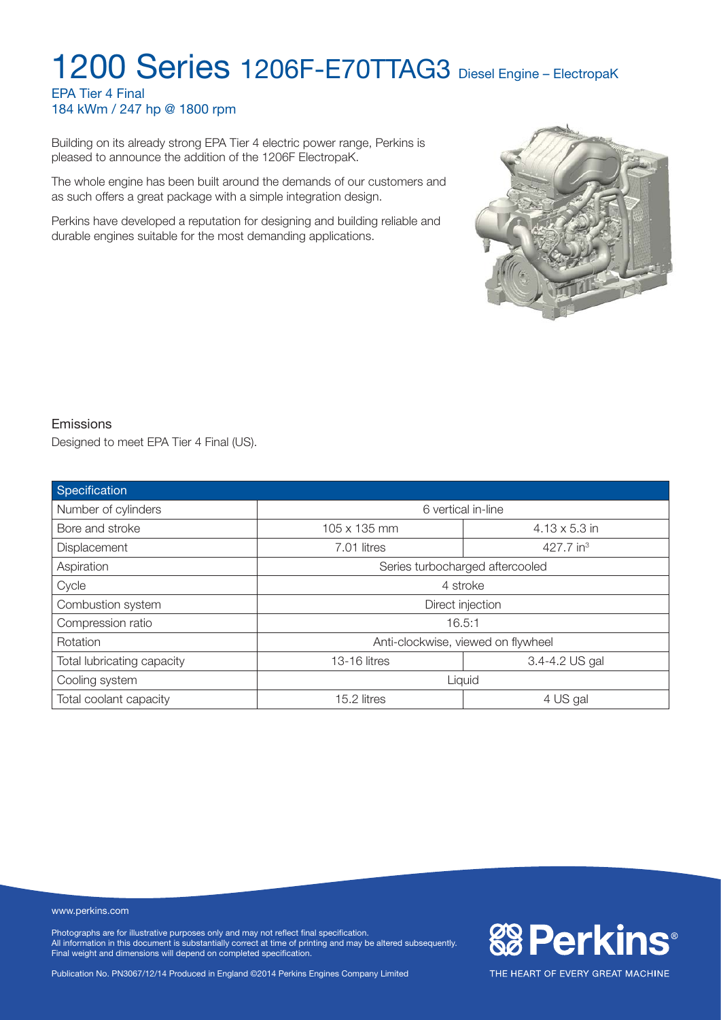#### EPA Tier 4 Final 184 kWm / 247 hp @ 1800 rpm

Building on its already strong EPA Tier 4 electric power range, Perkins is pleased to announce the addition of the 1206F ElectropaK.

The whole engine has been built around the demands of our customers and as such offers a great package with a simple integration design.

Perkins have developed a reputation for designing and building reliable and durable engines suitable for the most demanding applications.



**& Perkins®** 

THE HEART OF EVERY GREAT MACHINE

#### Emissions

Designed to meet EPA Tier 4 Final (US).

| Specification              |                                    |                      |  |
|----------------------------|------------------------------------|----------------------|--|
| Number of cylinders        | 6 vertical in-line                 |                      |  |
| Bore and stroke            | 105 x 135 mm                       | $4.13 \times 5.3$ in |  |
| Displacement               | 427.7 in $3$<br>7.01 litres        |                      |  |
| Aspiration                 | Series turbocharged aftercooled    |                      |  |
| Cycle                      | 4 stroke                           |                      |  |
| Combustion system          | Direct injection                   |                      |  |
| Compression ratio          | 16.5:1                             |                      |  |
| Rotation                   | Anti-clockwise, viewed on flywheel |                      |  |
| Total lubricating capacity | 3.4-4.2 US gal<br>13-16 litres     |                      |  |
| Cooling system             | Liquid                             |                      |  |
| Total coolant capacity     | 15.2 litres                        | 4 US gal             |  |

#### www.perkins.com

Photographs are for illustrative purposes only and may not reflect final specification. All information in this document is substantially correct at time of printing and may be altered subsequently. Final weight and dimensions will depend on completed specification.

Publication No. PN3067/12/14 Produced in England ©2014 Perkins Engines Company Limited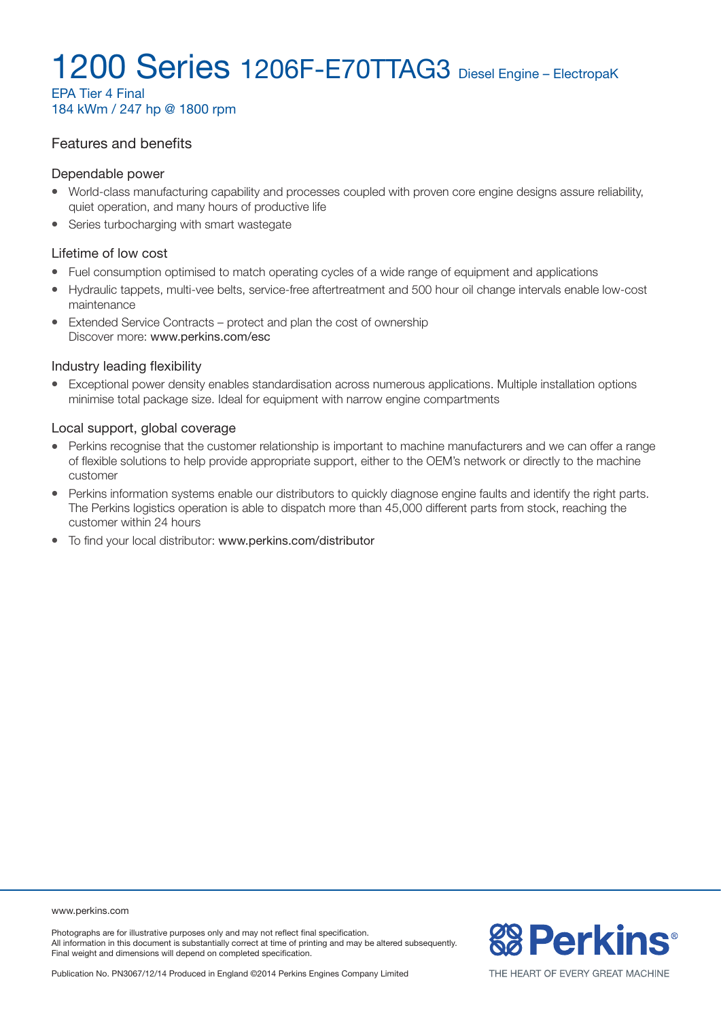EPA Tier 4 Final 184 kWm / 247 hp @ 1800 rpm

#### Features and benefits

#### Dependable power

- World-class manufacturing capability and processes coupled with proven core engine designs assure reliability, quiet operation, and many hours of productive life
- Series turbocharging with smart wastegate

#### Lifetime of low cost

- Fuel consumption optimised to match operating cycles of a wide range of equipment and applications
- Hydraulic tappets, multi-vee belts, service-free aftertreatment and 500 hour oil change intervals enable low-cost maintenance
- Extended Service Contracts protect and plan the cost of ownership Discover more: www.perkins.com/esc

#### Industry leading flexibility

Exceptional power density enables standardisation across numerous applications. Multiple installation options minimise total package size. Ideal for equipment with narrow engine compartments

#### Local support, global coverage

- Perkins recognise that the customer relationship is important to machine manufacturers and we can offer a range of flexible solutions to help provide appropriate support, either to the OEM's network or directly to the machine customer
- Perkins information systems enable our distributors to quickly diagnose engine faults and identify the right parts. The Perkins logistics operation is able to dispatch more than 45,000 different parts from stock, reaching the customer within 24 hours
- To find your local distributor: www.perkins.com/distributor

www.perkins.com

Photographs are for illustrative purposes only and may not reflect final specification. All information in this document is substantially correct at time of printing and may be altered subsequently. Final weight and dimensions will depend on completed specification.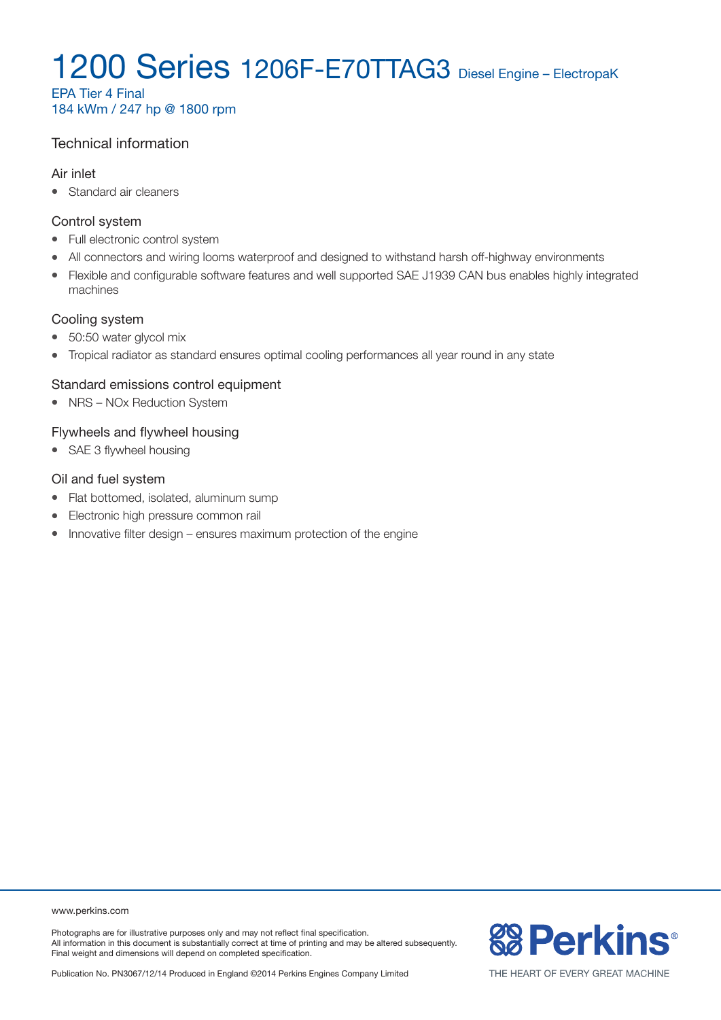EPA Tier 4 Final 184 kWm / 247 hp @ 1800 rpm

### Technical information

#### Air inlet

• Standard air cleaners

#### Control system

- Full electronic control system
- All connectors and wiring looms waterproof and designed to withstand harsh off-highway environments
- Flexible and configurable software features and well supported SAE J1939 CAN bus enables highly integrated machines

#### Cooling system

- 50:50 water glycol mix
- Tropical radiator as standard ensures optimal cooling performances all year round in any state

#### Standard emissions control equipment

• NRS – NOx Reduction System

#### Flywheels and flywheel housing

• SAE 3 flywheel housing

#### Oil and fuel system

- Flat bottomed, isolated, aluminum sump
- Electronic high pressure common rail
- $\bullet$  Innovative filter design ensures maximum protection of the engine

www.perkins.com

Photographs are for illustrative purposes only and may not reflect final specification. All information in this document is substantially correct at time of printing and may be altered subsequently. Final weight and dimensions will depend on completed specification.

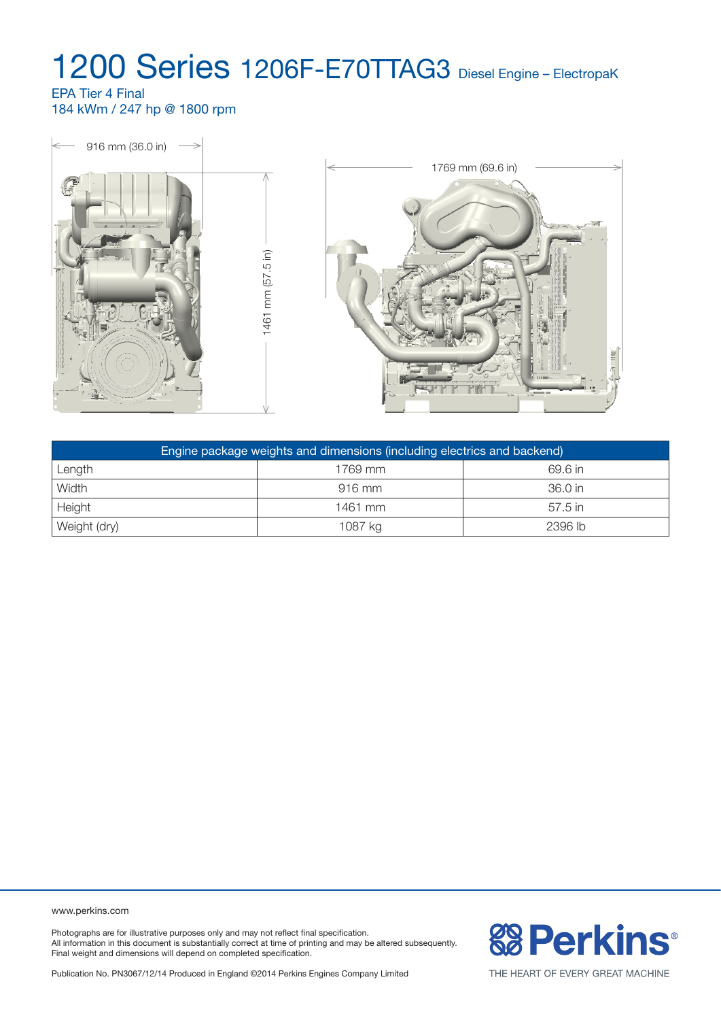#### EPA Tier 4 Final 184 kWm / 247 hp @ 1800 rpm



| Engine package weights and dimensions (including electrics and backend) |          |           |  |
|-------------------------------------------------------------------------|----------|-----------|--|
| Length                                                                  | 1769 mm  | 69.6 in   |  |
| Width                                                                   | $916$ mm | 36.0 in   |  |
| Height                                                                  | 1461 mm  | $57.5$ in |  |
| Weight (dry)                                                            | 1087 kg  | 2396 lb   |  |

www.perkins.com

Photographs are for illustrative purposes only and may not reflect final specification. All information in this document is substantially correct at time of printing and may be altered subsequently. Final weight and dimensions will depend on completed specification.



Publication No. PN3067/12/14 Produced in England ©2014 Perkins Engines Company Limited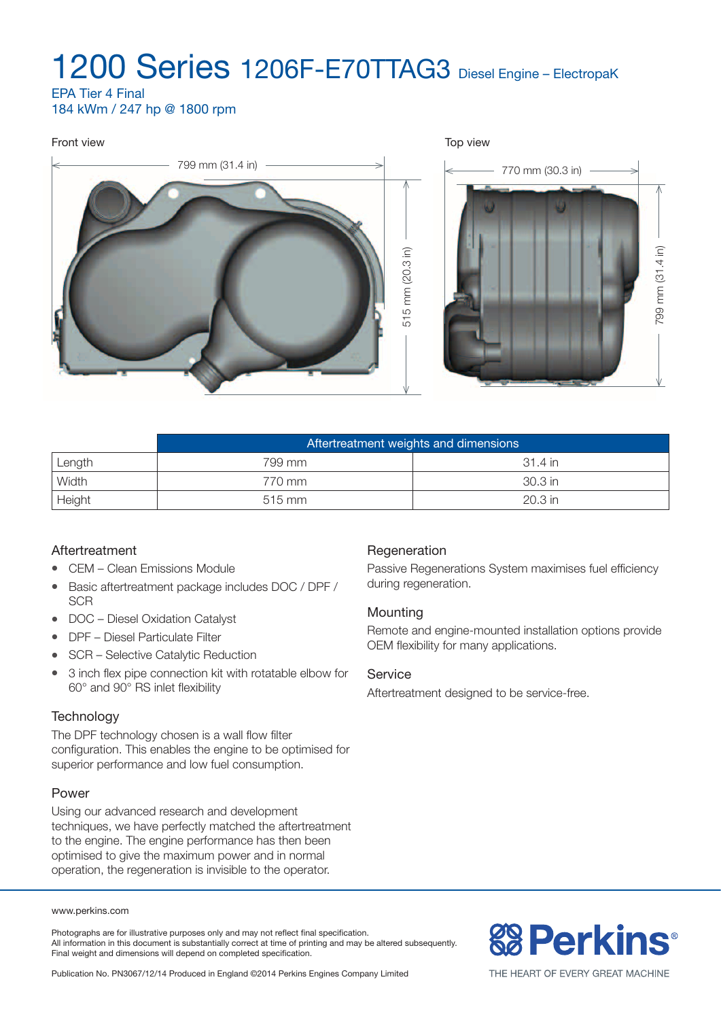EPA Tier 4 Final 184 kWm / 247 hp @ 1800 rpm

# Front view Top view 799 mm (31.4 in)  $\longrightarrow$   $\longrightarrow$  770 mm (30.3 in) 799 mm (31.4 in) 515 mm (20.3 in) 799 mm (31.4 in) 515 mm (20.3 in)

|        | Aftertreatment weights and dimensions |          |  |
|--------|---------------------------------------|----------|--|
| Length | 799 mm                                | -31.4 in |  |
| Width  | 770 mm                                | 30.3 in  |  |
| Height | $515$ mm                              | 20.3 in  |  |

### Aftertreatment

- CEM Clean Emissions Module
- Basic aftertreatment package includes DOC / DPF / **SCR**
- $\bullet$  DOC Diesel Oxidation Catalyst
- DPF Diesel Particulate Filter
- SCR Selective Catalytic Reduction
- 3 inch flex pipe connection kit with rotatable elbow for 60° and 90° RS inlet flexibility

#### **Technology**

The DPF technology chosen is a wall flow filter configuration. This enables the engine to be optimised for superior performance and low fuel consumption.

#### Power

Using our advanced research and development techniques, we have perfectly matched the aftertreatment to the engine. The engine performance has then been optimised to give the maximum power and in normal operation, the regeneration is invisible to the operator.

#### www.perkins.com

Photographs are for illustrative purposes only and may not reflect final specification. All information in this document is substantially correct at time of printing and may be altered subsequently. Final weight and dimensions will depend on completed specification.

#### Passive Regenerations System maximises fuel efficiency

Regeneration

during regeneration. **Mounting** 

Remote and engine-mounted installation options provide OEM flexibility for many applications.

#### **Service**

Aftertreatment designed to be service-free.

# **& Perkins®**

Publication No. PN3067/12/14 Produced in England ©2014 Perkins Engines Company Limited